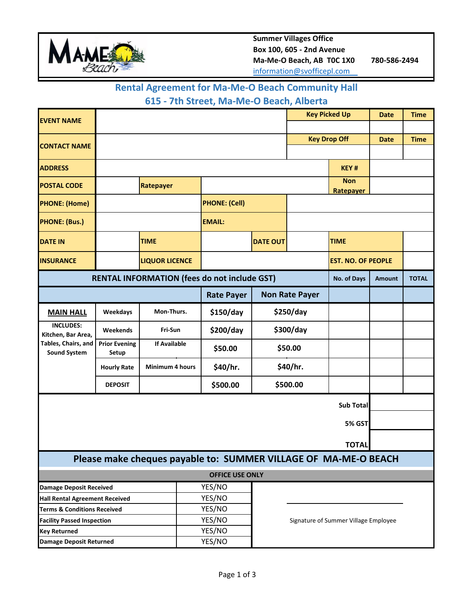

#### **Rental Agreement for Ma-Me-O Beach Community Hall**

### **615 - 7th Street, Ma-Me-O Beach, Alberta**

| <b>EVENT NAME</b>                                               |                               |                        |                      | <b>Key Picked Up</b>                 |                       | <b>Date</b>               | <b>Time</b>   |              |  |  |
|-----------------------------------------------------------------|-------------------------------|------------------------|----------------------|--------------------------------------|-----------------------|---------------------------|---------------|--------------|--|--|
|                                                                 |                               |                        |                      |                                      |                       |                           |               |              |  |  |
| <b>CONTACT NAME</b>                                             |                               |                        |                      |                                      |                       | <b>Key Drop Off</b>       |               | <b>Time</b>  |  |  |
|                                                                 |                               |                        |                      |                                      |                       |                           |               |              |  |  |
| <b>ADDRESS</b>                                                  |                               |                        |                      |                                      |                       | KEY#                      |               |              |  |  |
| <b>POSTAL CODE</b>                                              |                               | Ratepayer              |                      |                                      |                       | <b>Non</b><br>Ratepayer   |               |              |  |  |
| <b>PHONE: (Home)</b>                                            |                               |                        | <b>PHONE: (Cell)</b> |                                      |                       |                           |               |              |  |  |
| <b>PHONE: (Bus.)</b>                                            |                               |                        | <b>EMAIL:</b>        |                                      |                       |                           |               |              |  |  |
| <b>DATE IN</b>                                                  |                               | <b>TIME</b>            |                      | <b>DATE OUT</b>                      |                       | <b>TIME</b>               |               |              |  |  |
| <b>INSURANCE</b>                                                |                               | <b>LIQUOR LICENCE</b>  |                      |                                      |                       | <b>EST. NO. OF PEOPLE</b> |               |              |  |  |
| <b>RENTAL INFORMATION (fees do not include GST)</b>             |                               |                        |                      |                                      |                       | No. of Days               | <b>Amount</b> | <b>TOTAL</b> |  |  |
|                                                                 |                               |                        | <b>Rate Payer</b>    |                                      | <b>Non Rate Payer</b> |                           |               |              |  |  |
| <b>MAIN HALL</b>                                                | Weekdays                      | Mon-Thurs.             | \$150/day            | \$250/day                            |                       |                           |               |              |  |  |
| <b>INCLUDES:</b><br>Kitchen, Bar Area,                          | Weekends                      | Fri-Sun                | \$200/day            |                                      | \$300/day             |                           |               |              |  |  |
| Tables, Chairs, and<br><b>Sound System</b>                      | <b>Prior Evening</b><br>Setup | <b>If Available</b>    | \$50.00              |                                      | \$50.00               |                           |               |              |  |  |
|                                                                 | <b>Hourly Rate</b>            | <b>Minimum 4 hours</b> | \$40/hr.             |                                      | \$40/hr.              |                           |               |              |  |  |
|                                                                 | <b>DEPOSIT</b>                |                        | \$500.00             | \$500.00                             |                       |                           |               |              |  |  |
| <b>Sub Total</b>                                                |                               |                        |                      |                                      |                       |                           |               |              |  |  |
| 5% GST                                                          |                               |                        |                      |                                      |                       |                           |               |              |  |  |
| <b>TOTAL</b>                                                    |                               |                        |                      |                                      |                       |                           |               |              |  |  |
| Please make cheques payable to: SUMMER VILLAGE OF MA-ME-O BEACH |                               |                        |                      |                                      |                       |                           |               |              |  |  |
| <b>OFFICE USE ONLY</b>                                          |                               |                        |                      |                                      |                       |                           |               |              |  |  |
| <b>Damage Deposit Received</b>                                  |                               |                        | YES/NO               |                                      |                       |                           |               |              |  |  |
| <b>Hall Rental Agreement Received</b>                           |                               |                        | YES/NO               |                                      |                       |                           |               |              |  |  |
| <b>Terms &amp; Conditions Received</b>                          |                               |                        | YES/NO               |                                      |                       |                           |               |              |  |  |
| <b>Facility Passed Inspection</b>                               |                               |                        | YES/NO               | Signature of Summer Village Employee |                       |                           |               |              |  |  |
| <b>Key Returned</b>                                             |                               |                        | YES/NO               |                                      |                       |                           |               |              |  |  |
| <b>Damage Deposit Returned</b>                                  |                               |                        | YES/NO               |                                      |                       |                           |               |              |  |  |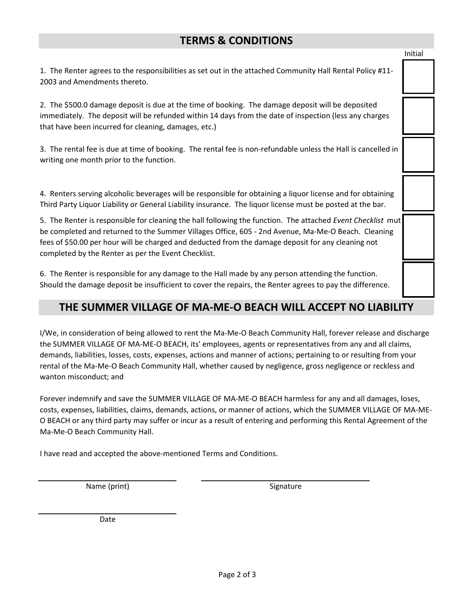### **TERMS & CONDITIONS**

| THE SUMMER VILLAGE OF MA-ME-O BEACH WILL ACCEPT NO LIABILITY                                                                                                                                                                                                                                                                                                                   |         |  |  |  |  |
|--------------------------------------------------------------------------------------------------------------------------------------------------------------------------------------------------------------------------------------------------------------------------------------------------------------------------------------------------------------------------------|---------|--|--|--|--|
| 6. The Renter is responsible for any damage to the Hall made by any person attending the function.<br>Should the damage deposit be insufficient to cover the repairs, the Renter agrees to pay the difference.                                                                                                                                                                 |         |  |  |  |  |
| 5. The Renter is responsible for cleaning the hall following the function. The attached Event Checklist mut<br>be completed and returned to the Summer Villages Office, 605 - 2nd Avenue, Ma-Me-O Beach. Cleaning<br>fees of \$50.00 per hour will be charged and deducted from the damage deposit for any cleaning not<br>completed by the Renter as per the Event Checklist. |         |  |  |  |  |
| 4. Renters serving alcoholic beverages will be responsible for obtaining a liquor license and for obtaining<br>Third Party Liquor Liability or General Liability insurance. The liquor license must be posted at the bar.                                                                                                                                                      |         |  |  |  |  |
| 3. The rental fee is due at time of booking. The rental fee is non-refundable unless the Hall is cancelled in<br>writing one month prior to the function.                                                                                                                                                                                                                      |         |  |  |  |  |
| 2. The \$500.0 damage deposit is due at the time of booking. The damage deposit will be deposited<br>immediately. The deposit will be refunded within 14 days from the date of inspection (less any charges<br>that have been incurred for cleaning, damages, etc.)                                                                                                            |         |  |  |  |  |
| 1. The Renter agrees to the responsibilities as set out in the attached Community Hall Rental Policy #11-<br>2003 and Amendments thereto.                                                                                                                                                                                                                                      |         |  |  |  |  |
|                                                                                                                                                                                                                                                                                                                                                                                | Initial |  |  |  |  |

I/We, in consideration of being allowed to rent the Ma-Me-O Beach Community Hall, forever release and discharge the SUMMER VILLAGE OF MA-ME-O BEACH, its' employees, agents or representatives from any and all claims, demands, liabilities, losses, costs, expenses, actions and manner of actions; pertaining to or resulting from your rental of the Ma-Me-O Beach Community Hall, whether caused by negligence, gross negligence or reckless and wanton misconduct; and

Forever indemnify and save the SUMMER VILLAGE OF MA-ME-O BEACH harmless for any and all damages, loses, costs, expenses, liabilities, claims, demands, actions, or manner of actions, which the SUMMER VILLAGE OF MA-ME-O BEACH or any third party may suffer or incur as a result of entering and performing this Rental Agreement of the Ma-Me-O Beach Community Hall.

I have read and accepted the above-mentioned Terms and Conditions.

Name (print) Signature

Date